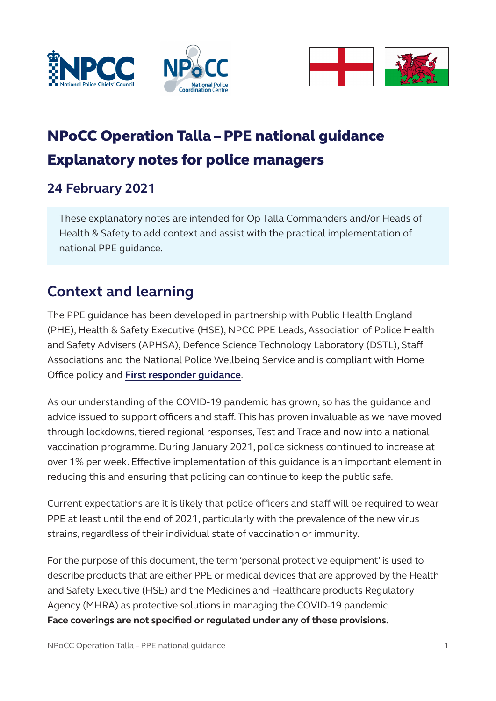





# NPoCC Operation Talla – PPE national guidance Explanatory notes for police managers

### **24 February 2021**

These explanatory notes are intended for Op Talla Commanders and/or Heads of Health & Safety to add context and assist with the practical implementation of national PPE guidance.

## **Context and learning**

The PPE guidance has been developed in partnership with Public Health England (PHE), Health & Safety Executive (HSE), NPCC PPE Leads, Association of Police Health and Safety Advisers (APHSA), Defence Science Technology Laboratory (DSTL), Staff Associations and the National Police Wellbeing Service and is compliant with Home Office policy and **[First responder guidance](https://www.gov.uk/government/publications/novel-coronavirus-2019-ncov-interim-guidance-for-first-responders)**.

As our understanding of the COVID-19 pandemic has grown, so has the guidance and advice issued to support officers and staff. This has proven invaluable as we have moved through lockdowns, tiered regional responses, Test and Trace and now into a national vaccination programme. During January 2021, police sickness continued to increase at over 1% per week. Effective implementation of this guidance is an important element in reducing this and ensuring that policing can continue to keep the public safe.

Current expectations are it is likely that police officers and staff will be required to wear PPE at least until the end of 2021, particularly with the prevalence of the new virus strains, regardless of their individual state of vaccination or immunity.

For the purpose of this document, the term 'personal protective equipment' is used to describe products that are either PPE or medical devices that are approved by the Health and Safety Executive (HSE) and the Medicines and Healthcare products Regulatory Agency (MHRA) as protective solutions in managing the COVID-19 pandemic. **Face coverings are not specified or regulated under any of these provisions.**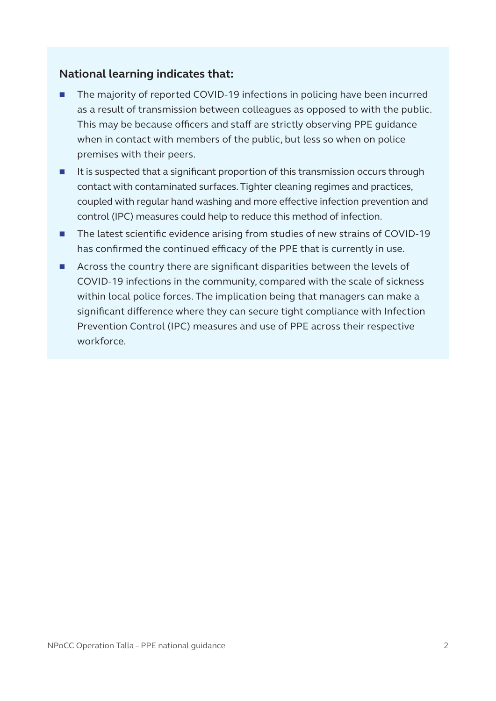#### **National learning indicates that:**

- The majority of reported COVID-19 infections in policing have been incurred as a result of transmission between colleagues as opposed to with the public. This may be because officers and staff are strictly observing PPE guidance when in contact with members of the public, but less so when on police premises with their peers.
- $\blacksquare$  It is suspected that a significant proportion of this transmission occurs through contact with contaminated surfaces. Tighter cleaning regimes and practices, coupled with regular hand washing and more effective infection prevention and control (IPC) measures could help to reduce this method of infection.
- The latest scientific evidence arising from studies of new strains of COVID-19 has confirmed the continued efficacy of the PPE that is currently in use.
- Across the country there are significant disparities between the levels of COVID-19 infections in the community, compared with the scale of sickness within local police forces. The implication being that managers can make a significant difference where they can secure tight compliance with Infection Prevention Control (IPC) measures and use of PPE across their respective workforce.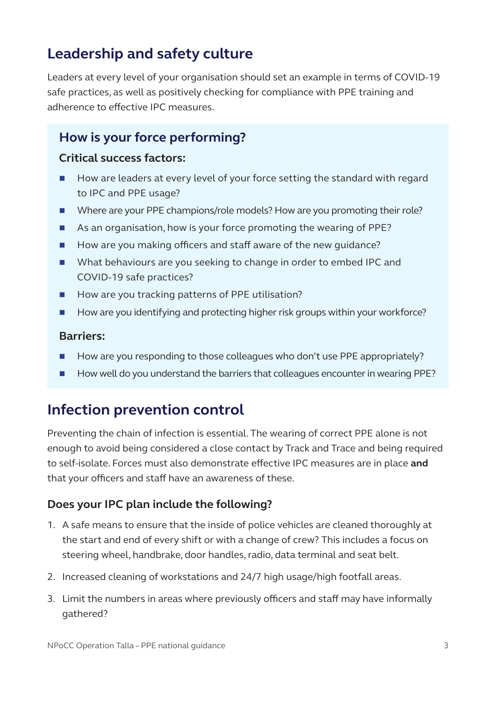## **Leadership and safety culture**

Leaders at every level of your organisation should set an example in terms of COVID-19 safe practices, as well as positively checking for compliance with PPE training and adherence to effective IPC measures.

### **How is your force performing?**

#### **Critical success factors:**

- How are leaders at every level of your force setting the standard with regard to IPC and PPE usage?
- Where are your PPE champions/role models? How are you promoting their role?
- As an organisation, how is your force promoting the wearing of PPE?
- How are you making officers and staff aware of the new guidance?
- What behaviours are you seeking to change in order to embed IPC and COVID-19 safe practices?
- How are you tracking patterns of PPE utilisation?
- How are you identifying and protecting higher risk groups within your workforce?

#### **Barriers:**

- How are you responding to those colleagues who don't use PPE appropriately?
- How well do you understand the barriers that colleagues encounter in wearing PPE?

### **Infection prevention control**

Preventing the chain of infection is essential. The wearing of correct PPE alone is not enough to avoid being considered a close contact by Track and Trace and being required to self-isolate. Forces must also demonstrate effective IPC measures are in place **and** that your officers and staff have an awareness of these.

#### **Does your IPC plan include the following?**

- 1. A safe means to ensure that the inside of police vehicles are cleaned thoroughly at the start and end of every shift or with a change of crew? This includes a focus on steering wheel, handbrake, door handles, radio, data terminal and seat belt.
- 2. Increased cleaning of workstations and 24/7 high usage/high footfall areas.
- 3. Limit the numbers in areas where previously officers and staff may have informally gathered?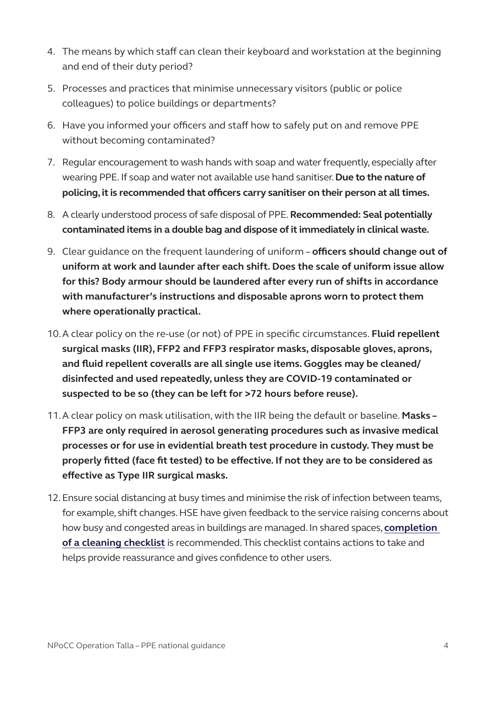- 4. The means by which staff can clean their keyboard and workstation at the beginning and end of their duty period?
- 5. Processes and practices that minimise unnecessary visitors (public or police colleagues) to police buildings or departments?
- 6. Have you informed your officers and staff how to safely put on and remove PPE without becoming contaminated?
- 7. Regular encouragement to wash hands with soap and water frequently, especially after wearing PPE. If soap and water not available use hand sanitiser. **Due to the nature of policing, it is recommended that officers carry sanitiser on their person at all times.**
- 8. A clearly understood process of safe disposal of PPE. **Recommended: Seal potentially contaminated items in a double bag and dispose of it immediately in clinical waste.**
- 9. Clear guidance on the frequent laundering of uniform **officers should change out of uniform at work and launder after each shift. Does the scale of uniform issue allow for this? Body armour should be laundered after every run of shifts in accordance with manufacturer's instructions and disposable aprons worn to protect them where operationally practical.**
- 10.A clear policy on the re-use (or not) of PPE in specific circumstances. **Fluid repellent surgical masks (IIR), FFP2 and FFP3 respirator masks, disposable gloves, aprons, and fluid repellent coveralls are all single use items. Goggles may be cleaned/ disinfected and used repeatedly, unless they are COVID-19 contaminated or suspected to be so (they can be left for >72 hours before reuse).**
- 11.A clear policy on mask utilisation, with the IIR being the default or baseline. **Masks FFP3 are only required in aerosol generating procedures such as invasive medical processes or for use in evidential breath test procedure in custody. They must be properly fitted (face fit tested) to be effective. If not they are to be considered as effective as Type IIR surgical masks.**
- 12.Ensure social distancing at busy times and minimise the risk of infection between teams, for example, shift changes. HSE have given feedback to the service raising concerns about how busy and congested areas in buildings are managed. In shared spaces, **[completion](https://www.npcc.police.uk/Policies/PPE/COVID19%20Working%20Safely%20START%20and%20FINISH%20CHECKLIST.pdf)  [of a cleaning checklist](https://www.npcc.police.uk/Policies/PPE/COVID19%20Working%20Safely%20START%20and%20FINISH%20CHECKLIST.pdf)** is recommended. This checklist contains actions to take and helps provide reassurance and gives confidence to other users.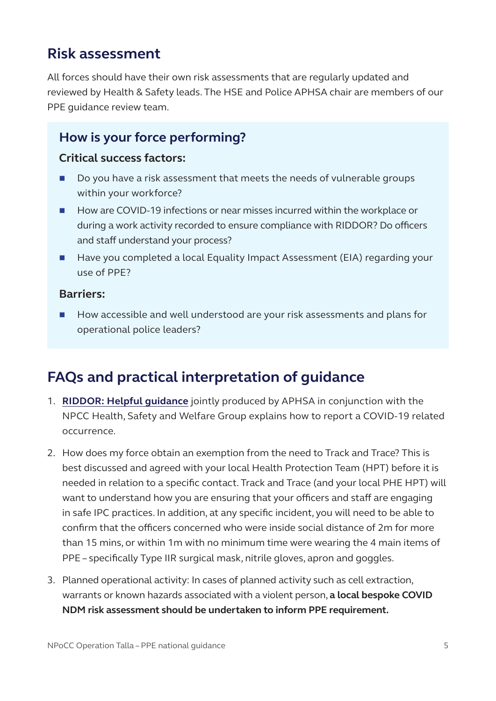### **Risk assessment**

All forces should have their own risk assessments that are regularly updated and reviewed by Health & Safety leads. The HSE and Police APHSA chair are members of our PPE guidance review team.

### **How is your force performing?**

#### **Critical success factors:**

- Do you have a risk assessment that meets the needs of vulnerable groups within your workforce?
- How are COVID-19 infections or near misses incurred within the workplace or during a work activity recorded to ensure compliance with RIDDOR? Do officers and staff understand your process?
- Have you completed a local Equality Impact Assessment (EIA) regarding your use of PPE?

#### **Barriers:**

■ How accessible and well understood are your risk assessments and plans for operational police leaders?

### **FAQs and practical interpretation of guidance**

- 1. **[RIDDOR: Helpful guidance](https://www.npcc.police.uk/Policies/PPE/NPCC%20%20APHSA%20Guidance%20on%20COVID19%20reporting%20to%20HSE%20under%20RIDDOR%20updated%20June%202020.docx.pdf)** jointly produced by APHSA in conjunction with the NPCC Health, Safety and Welfare Group explains how to report a COVID-19 related occurrence.
- 2. How does my force obtain an exemption from the need to Track and Trace? This is best discussed and agreed with your local Health Protection Team (HPT) before it is needed in relation to a specific contact. Track and Trace (and your local PHE HPT) will want to understand how you are ensuring that your officers and staff are engaging in safe IPC practices. In addition, at any specific incident, you will need to be able to confirm that the officers concerned who were inside social distance of 2m for more than 15 mins, or within 1m with no minimum time were wearing the 4 main items of PPE – specifically Type IIR surgical mask, nitrile gloves, apron and goggles.
- 3. Planned operational activity: In cases of planned activity such as cell extraction, warrants or known hazards associated with a violent person, **a local bespoke COVID NDM risk assessment should be undertaken to inform PPE requirement.**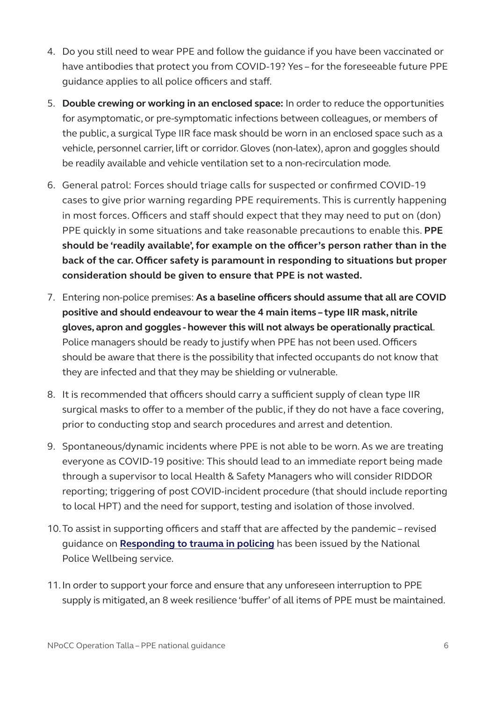- 4. Do you still need to wear PPE and follow the guidance if you have been vaccinated or have antibodies that protect you from COVID-19? Yes – for the foreseeable future PPE guidance applies to all police officers and staff.
- 5. **Double crewing or working in an enclosed space:** In order to reduce the opportunities for asymptomatic, or pre-symptomatic infections between colleagues, or members of the public, a surgical Type IIR face mask should be worn in an enclosed space such as a vehicle, personnel carrier, lift or corridor. Gloves (non-latex), apron and goggles should be readily available and vehicle ventilation set to a non-recirculation mode.
- 6. General patrol: Forces should triage calls for suspected or confirmed COVID-19 cases to give prior warning regarding PPE requirements. This is currently happening in most forces. Officers and staff should expect that they may need to put on (don) PPE quickly in some situations and take reasonable precautions to enable this. **PPE should be 'readily available', for example on the officer's person rather than in the back of the car. Officer safety is paramount in responding to situations but proper consideration should be given to ensure that PPE is not wasted.**
- 7. Entering non-police premises: **As a baseline officers should assume that all are COVID positive and should endeavour to wear the 4 main items – type IIR mask, nitrile gloves, apron and goggles - however this will not always be operationally practical**. Police managers should be ready to justify when PPE has not been used. Officers should be aware that there is the possibility that infected occupants do not know that they are infected and that they may be shielding or vulnerable.
- 8. It is recommended that officers should carry a sufficient supply of clean type IIR surgical masks to offer to a member of the public, if they do not have a face covering, prior to conducting stop and search procedures and arrest and detention.
- 9. Spontaneous/dynamic incidents where PPE is not able to be worn. As we are treating everyone as COVID-19 positive: This should lead to an immediate report being made through a supervisor to local Health & Safety Managers who will consider RIDDOR reporting; triggering of post COVID-incident procedure (that should include reporting to local HPT) and the need for support, testing and isolation of those involved.
- 10.To assist in supporting officers and staff that are affected by the pandemic revised guidance on **[Responding to trauma in policing](https://oscarkilo.org.uk/app/uploads/2020/12/Hesketh_Tehrani_Responding-to-trauma-in-policing-a-practical-guide.pdf)** has been issued by the National Police Wellbeing service.
- 11.In order to support your force and ensure that any unforeseen interruption to PPE supply is mitigated, an 8 week resilience 'buffer' of all items of PPE must be maintained.